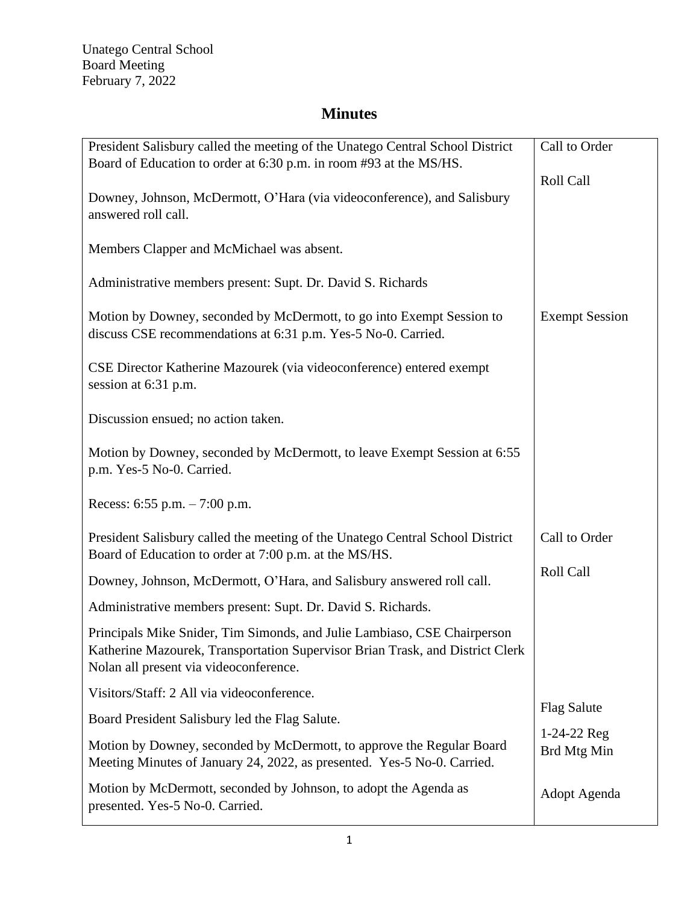| President Salisbury called the meeting of the Unatego Central School District                                                                                                                       | Call to Order                |
|-----------------------------------------------------------------------------------------------------------------------------------------------------------------------------------------------------|------------------------------|
| Board of Education to order at 6:30 p.m. in room #93 at the MS/HS.<br>Downey, Johnson, McDermott, O'Hara (via videoconference), and Salisbury                                                       | Roll Call                    |
| answered roll call.                                                                                                                                                                                 |                              |
| Members Clapper and McMichael was absent.                                                                                                                                                           |                              |
| Administrative members present: Supt. Dr. David S. Richards                                                                                                                                         |                              |
| Motion by Downey, seconded by McDermott, to go into Exempt Session to<br>discuss CSE recommendations at 6:31 p.m. Yes-5 No-0. Carried.                                                              | <b>Exempt Session</b>        |
| CSE Director Katherine Mazourek (via videoconference) entered exempt<br>session at 6:31 p.m.                                                                                                        |                              |
| Discussion ensued; no action taken.                                                                                                                                                                 |                              |
| Motion by Downey, seconded by McDermott, to leave Exempt Session at 6:55<br>p.m. Yes-5 No-0. Carried.                                                                                               |                              |
| Recess: $6:55$ p.m. $-7:00$ p.m.                                                                                                                                                                    |                              |
| President Salisbury called the meeting of the Unatego Central School District<br>Board of Education to order at 7:00 p.m. at the MS/HS.                                                             | Call to Order                |
| Downey, Johnson, McDermott, O'Hara, and Salisbury answered roll call.                                                                                                                               | Roll Call                    |
| Administrative members present: Supt. Dr. David S. Richards.                                                                                                                                        |                              |
| Principals Mike Snider, Tim Simonds, and Julie Lambiaso, CSE Chairperson<br>Katherine Mazourek, Transportation Supervisor Brian Trask, and District Clerk<br>Nolan all present via videoconference. |                              |
| Visitors/Staff: 2 All via videoconference.                                                                                                                                                          |                              |
| Board President Salisbury led the Flag Salute.                                                                                                                                                      | <b>Flag Salute</b>           |
| Motion by Downey, seconded by McDermott, to approve the Regular Board<br>Meeting Minutes of January 24, 2022, as presented. Yes-5 No-0. Carried.                                                    | $1-24-22$ Reg<br>Brd Mtg Min |
| Motion by McDermott, seconded by Johnson, to adopt the Agenda as<br>presented. Yes-5 No-0. Carried.                                                                                                 | Adopt Agenda                 |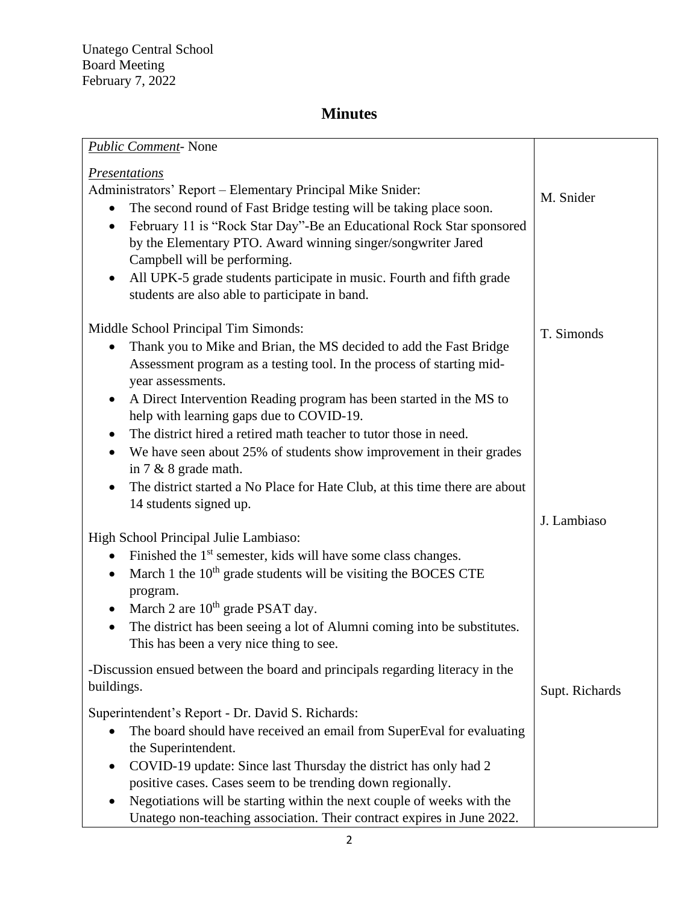| <b>Public Comment-</b> None                                                                                         |                |
|---------------------------------------------------------------------------------------------------------------------|----------------|
| <b>Presentations</b>                                                                                                |                |
| Administrators' Report - Elementary Principal Mike Snider:                                                          |                |
| The second round of Fast Bridge testing will be taking place soon.                                                  | M. Snider      |
| February 11 is "Rock Star Day"-Be an Educational Rock Star sponsored<br>$\bullet$                                   |                |
| by the Elementary PTO. Award winning singer/songwriter Jared                                                        |                |
| Campbell will be performing.                                                                                        |                |
| All UPK-5 grade students participate in music. Fourth and fifth grade                                               |                |
| students are also able to participate in band.                                                                      |                |
|                                                                                                                     |                |
| Middle School Principal Tim Simonds:                                                                                | T. Simonds     |
| Thank you to Mike and Brian, the MS decided to add the Fast Bridge                                                  |                |
| Assessment program as a testing tool. In the process of starting mid-                                               |                |
| year assessments.                                                                                                   |                |
| A Direct Intervention Reading program has been started in the MS to<br>٠                                            |                |
| help with learning gaps due to COVID-19.                                                                            |                |
| The district hired a retired math teacher to tutor those in need.                                                   |                |
| We have seen about 25% of students show improvement in their grades<br>$\bullet$                                    |                |
| in $7 & 8$ grade math.                                                                                              |                |
| The district started a No Place for Hate Club, at this time there are about                                         |                |
| 14 students signed up.                                                                                              |                |
|                                                                                                                     | J. Lambiaso    |
| High School Principal Julie Lambiaso:                                                                               |                |
| Finished the 1 <sup>st</sup> semester, kids will have some class changes.                                           |                |
| March 1 the 10 <sup>th</sup> grade students will be visiting the BOCES CTE<br>$\bullet$                             |                |
| program.                                                                                                            |                |
| March 2 are $10th$ grade PSAT day.                                                                                  |                |
| The district has been seeing a lot of Alumni coming into be substitutes.<br>This has been a very nice thing to see. |                |
|                                                                                                                     |                |
| -Discussion ensued between the board and principals regarding literacy in the                                       |                |
| buildings.                                                                                                          | Supt. Richards |
| Superintendent's Report - Dr. David S. Richards:                                                                    |                |
| The board should have received an email from SuperEval for evaluating<br>$\bullet$                                  |                |
| the Superintendent.                                                                                                 |                |
| COVID-19 update: Since last Thursday the district has only had 2                                                    |                |
| positive cases. Cases seem to be trending down regionally.                                                          |                |
| Negotiations will be starting within the next couple of weeks with the                                              |                |
| Unatego non-teaching association. Their contract expires in June 2022.                                              |                |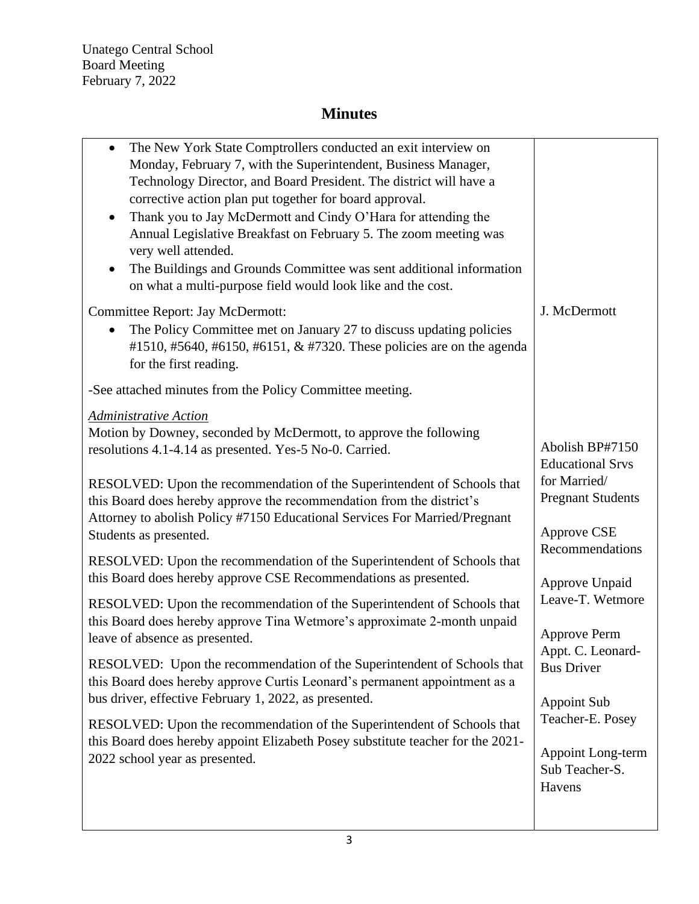Unatego Central School Board Meeting February 7, 2022

| The New York State Comptrollers conducted an exit interview on<br>$\bullet$<br>Monday, February 7, with the Superintendent, Business Manager,<br>Technology Director, and Board President. The district will have a<br>corrective action plan put together for board approval.<br>Thank you to Jay McDermott and Cindy O'Hara for attending the<br>$\bullet$<br>Annual Legislative Breakfast on February 5. The zoom meeting was<br>very well attended.<br>The Buildings and Grounds Committee was sent additional information<br>$\bullet$<br>on what a multi-purpose field would look like and the cost. |                                                         |
|------------------------------------------------------------------------------------------------------------------------------------------------------------------------------------------------------------------------------------------------------------------------------------------------------------------------------------------------------------------------------------------------------------------------------------------------------------------------------------------------------------------------------------------------------------------------------------------------------------|---------------------------------------------------------|
| <b>Committee Report: Jay McDermott:</b>                                                                                                                                                                                                                                                                                                                                                                                                                                                                                                                                                                    | J. McDermott                                            |
| The Policy Committee met on January 27 to discuss updating policies<br>#1510, #5640, #6150, #6151, & #7320. These policies are on the agenda<br>for the first reading.                                                                                                                                                                                                                                                                                                                                                                                                                                     |                                                         |
| -See attached minutes from the Policy Committee meeting.                                                                                                                                                                                                                                                                                                                                                                                                                                                                                                                                                   |                                                         |
| Administrative Action                                                                                                                                                                                                                                                                                                                                                                                                                                                                                                                                                                                      |                                                         |
| Motion by Downey, seconded by McDermott, to approve the following<br>resolutions 4.1-4.14 as presented. Yes-5 No-0. Carried.                                                                                                                                                                                                                                                                                                                                                                                                                                                                               | Abolish BP#7150<br><b>Educational Srvs</b>              |
| RESOLVED: Upon the recommendation of the Superintendent of Schools that<br>this Board does hereby approve the recommendation from the district's<br>Attorney to abolish Policy #7150 Educational Services For Married/Pregnant<br>Students as presented.                                                                                                                                                                                                                                                                                                                                                   | for Married/<br><b>Pregnant Students</b><br>Approve CSE |
| RESOLVED: Upon the recommendation of the Superintendent of Schools that                                                                                                                                                                                                                                                                                                                                                                                                                                                                                                                                    | Recommendations                                         |
| this Board does hereby approve CSE Recommendations as presented.                                                                                                                                                                                                                                                                                                                                                                                                                                                                                                                                           | Approve Unpaid                                          |
| RESOLVED: Upon the recommendation of the Superintendent of Schools that                                                                                                                                                                                                                                                                                                                                                                                                                                                                                                                                    | Leave-T. Wetmore                                        |
| this Board does hereby approve Tina Wetmore's approximate 2-month unpaid<br>leave of absence as presented.                                                                                                                                                                                                                                                                                                                                                                                                                                                                                                 | Approve Perm                                            |
| RESOLVED: Upon the recommendation of the Superintendent of Schools that<br>this Board does hereby approve Curtis Leonard's permanent appointment as a                                                                                                                                                                                                                                                                                                                                                                                                                                                      | Appt. C. Leonard-<br><b>Bus Driver</b>                  |
| bus driver, effective February 1, 2022, as presented.                                                                                                                                                                                                                                                                                                                                                                                                                                                                                                                                                      | Appoint Sub                                             |
| RESOLVED: Upon the recommendation of the Superintendent of Schools that                                                                                                                                                                                                                                                                                                                                                                                                                                                                                                                                    | Teacher-E. Posey                                        |
| this Board does hereby appoint Elizabeth Posey substitute teacher for the 2021-<br>2022 school year as presented.                                                                                                                                                                                                                                                                                                                                                                                                                                                                                          | Appoint Long-term<br>Sub Teacher-S.<br>Havens           |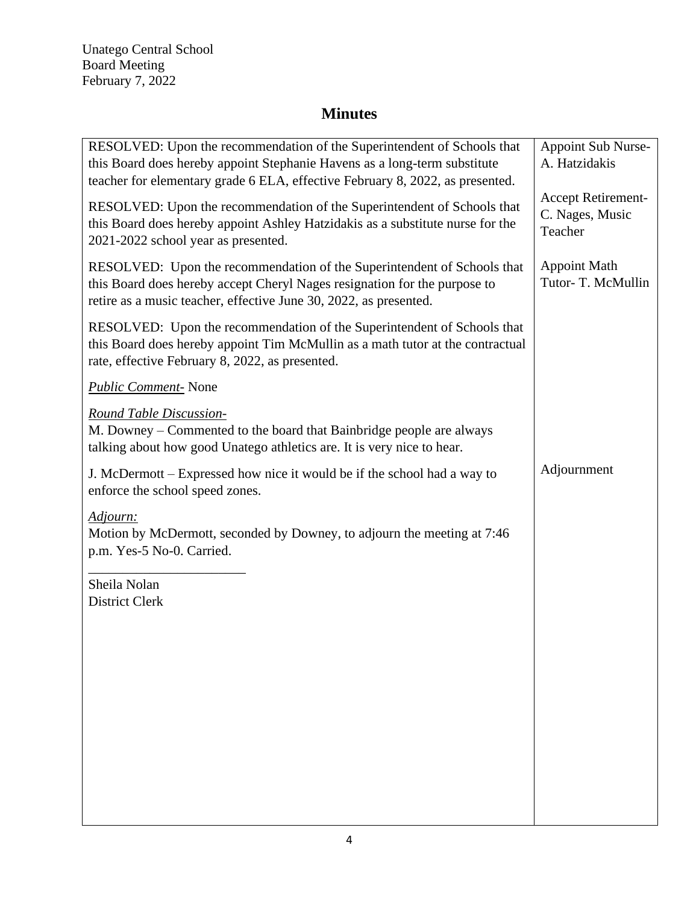Unatego Central School Board Meeting February 7, 2022

| RESOLVED: Upon the recommendation of the Superintendent of Schools that<br>this Board does hereby appoint Stephanie Havens as a long-term substitute<br>teacher for elementary grade 6 ELA, effective February 8, 2022, as presented. | <b>Appoint Sub Nurse-</b><br>A. Hatzidakis       |
|---------------------------------------------------------------------------------------------------------------------------------------------------------------------------------------------------------------------------------------|--------------------------------------------------|
| RESOLVED: Upon the recommendation of the Superintendent of Schools that<br>this Board does hereby appoint Ashley Hatzidakis as a substitute nurse for the<br>2021-2022 school year as presented.                                      | Accept Retirement-<br>C. Nages, Music<br>Teacher |
| RESOLVED: Upon the recommendation of the Superintendent of Schools that<br>this Board does hereby accept Cheryl Nages resignation for the purpose to<br>retire as a music teacher, effective June 30, 2022, as presented.             | <b>Appoint Math</b><br>Tutor-T. McMullin         |
| RESOLVED: Upon the recommendation of the Superintendent of Schools that<br>this Board does hereby appoint Tim McMullin as a math tutor at the contractual<br>rate, effective February 8, 2022, as presented.                          |                                                  |
| <b>Public Comment-</b> None                                                                                                                                                                                                           |                                                  |
| Round Table Discussion-<br>M. Downey – Commented to the board that Bainbridge people are always<br>talking about how good Unatego athletics are. It is very nice to hear.                                                             |                                                  |
| J. McDermott – Expressed how nice it would be if the school had a way to<br>enforce the school speed zones.                                                                                                                           | Adjournment                                      |
| Adjourn:<br>Motion by McDermott, seconded by Downey, to adjourn the meeting at 7:46<br>p.m. Yes-5 No-0. Carried.                                                                                                                      |                                                  |
| Sheila Nolan<br><b>District Clerk</b>                                                                                                                                                                                                 |                                                  |
|                                                                                                                                                                                                                                       |                                                  |
|                                                                                                                                                                                                                                       |                                                  |
|                                                                                                                                                                                                                                       |                                                  |
|                                                                                                                                                                                                                                       |                                                  |
|                                                                                                                                                                                                                                       |                                                  |